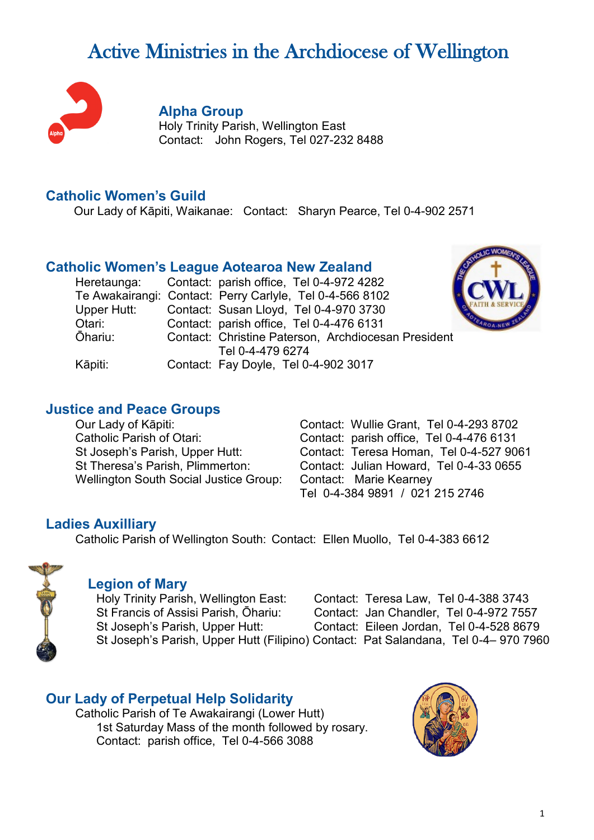# Active Ministries in the Archdiocese of Wellington



#### **Alpha Group**

Holy Trinity Parish, Wellington East Contact: John Rogers, Tel 027-232 8488

#### **Catholic Women's Guild**

Our Lady of Kāpiti, Waikanae: Contact: Sharyn Pearce, Tel 0-4-902 2571

## **Catholic Women's League Aotearoa New Zealand**

|             | Heretaunga: Contact: parish office, Tel 0-4-972 4282     |
|-------------|----------------------------------------------------------|
|             | Te Awakairangi: Contact: Perry Carlyle, Tel 0-4-566 8102 |
| Upper Hutt: | Contact: Susan Lloyd, Tel 0-4-970 3730                   |
| Otari:      | Contact: parish office, Tel 0-4-476 6131                 |
| Ōhariu:     | Contact: Christine Paterson, Archdiocesan President      |
|             | Tel 0-4-479 6274                                         |
| Kāpiti:     | Contact: Fay Doyle, Tel 0-4-902 3017                     |



## **Justice and Peace Groups**

Wellington South Social Justice Group: Contact: Marie Kearney

Our Lady of Kāpiti:<br>
Contact: Wullie Grant, Tel 0-4-293 8702<br>
Contact: parish office. Tel 0-4-476 6131 Contact: parish office, Tel 0-4-476 6131 St Joseph's Parish, Upper Hutt: Contact: Teresa Homan, Tel 0-4-527 9061 St Theresa's Parish, Plimmerton: Contact: Julian Howard, Tel 0-4-33 0655 Tel 0-4-384 9891 / 021 215 2746

## **Ladies Auxilliary**

Catholic Parish of Wellington South: Contact: Ellen Muollo, Tel 0-4-383 6612



## **Legion of Mary**

Holy Trinity Parish, Wellington East: Contact: Teresa Law, Tel 0-4-388 3743 St Francis of Assisi Parish, Ōhariu: Contact: Jan Chandler, Tel 0-4-972 7557 St Joseph's Parish, Upper Hutt: Contact: Eileen Jordan, Tel 0-4-528 8679 St Joseph's Parish, Upper Hutt (Filipino) Contact: Pat Salandana, Tel 0-4– 970 7960

## **Our Lady of Perpetual Help Solidarity**

Catholic Parish of Te Awakairangi (Lower Hutt) 1st Saturday Mass of the month followed by rosary. Contact: parish office, Tel 0-4-566 3088

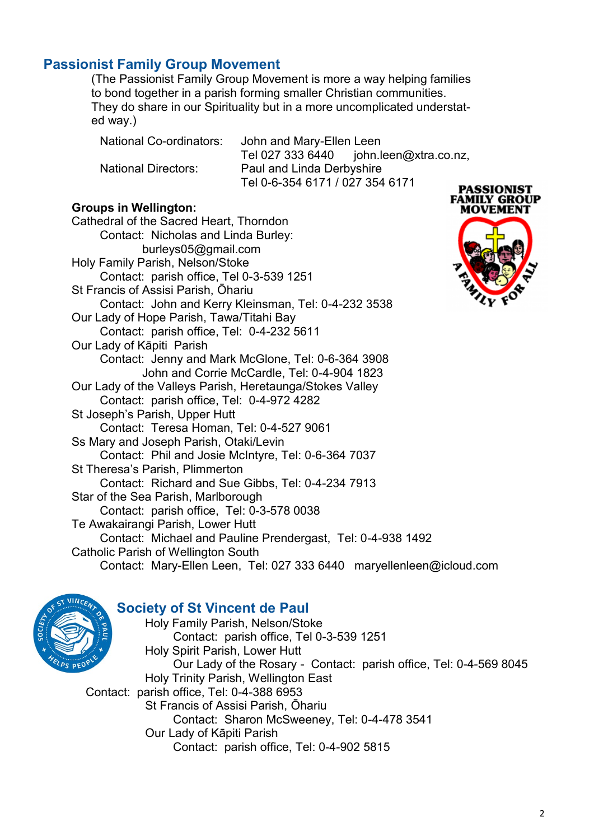## **Passionist Family Group Movement**

(The Passionist Family Group Movement is more a way helping families to bond together in a parish forming smaller Christian communities. They do share in our Spirituality but in a more uncomplicated understated way.)

National Co-ordinators: John and Mary-Ellen Leen Tel 027 333 6440 john.leen@xtra.co.nz, National Directors: Paul and Linda Derbyshire Tel 0-6-354 6171 / 027 354 6171

#### **Groups in Wellington:**

Cathedral of the Sacred Heart, Thorndon Contact: Nicholas and Linda Burley: burleys05@gmail.com Holy Family Parish, Nelson/Stoke Contact: parish office, Tel 0-3-539 1251 St Francis of Assisi Parish, Ōhariu Contact: John and Kerry Kleinsman, Tel: 0-4-232 3538 Our Lady of Hope Parish, Tawa/Titahi Bay Contact: parish office, Tel: 0-4-232 5611 Our Lady of Kāpiti Parish Contact: Jenny and Mark McGlone, Tel: 0-6-364 3908 John and Corrie McCardle, Tel: 0-4-904 1823 Our Lady of the Valleys Parish, Heretaunga/Stokes Valley Contact: parish office, Tel: 0-4-972 4282 St Joseph's Parish, Upper Hutt Contact: Teresa Homan, Tel: 0-4-527 9061 Ss Mary and Joseph Parish, Otaki/Levin Contact: Phil and Josie McIntyre, Tel: 0-6-364 7037 St Theresa's Parish, Plimmerton Contact: Richard and Sue Gibbs, Tel: 0-4-234 7913 Star of the Sea Parish, Marlborough Contact: parish office, Tel: 0-3-578 0038 Te Awakairangi Parish, Lower Hutt Contact: Michael and Pauline Prendergast, Tel: 0-4-938 1492 Catholic Parish of Wellington South Contact: Mary-Ellen Leen, Tel: 027 333 6440 maryellenleen@icloud.com





## **Society of St Vincent de Paul**

Holy Family Parish, Nelson/Stoke Contact: parish office, Tel 0-3-539 1251 Holy Spirit Parish, Lower Hutt Our Lady of the Rosary - Contact: parish office, Tel: 0-4-569 8045 Holy Trinity Parish, Wellington East Contact: parish office, Tel: 0-4-388 6953 St Francis of Assisi Parish, Ōhariu Contact: Sharon McSweeney, Tel: 0-4-478 3541 Our Lady of Kāpiti Parish Contact: parish office, Tel: 0-4-902 5815